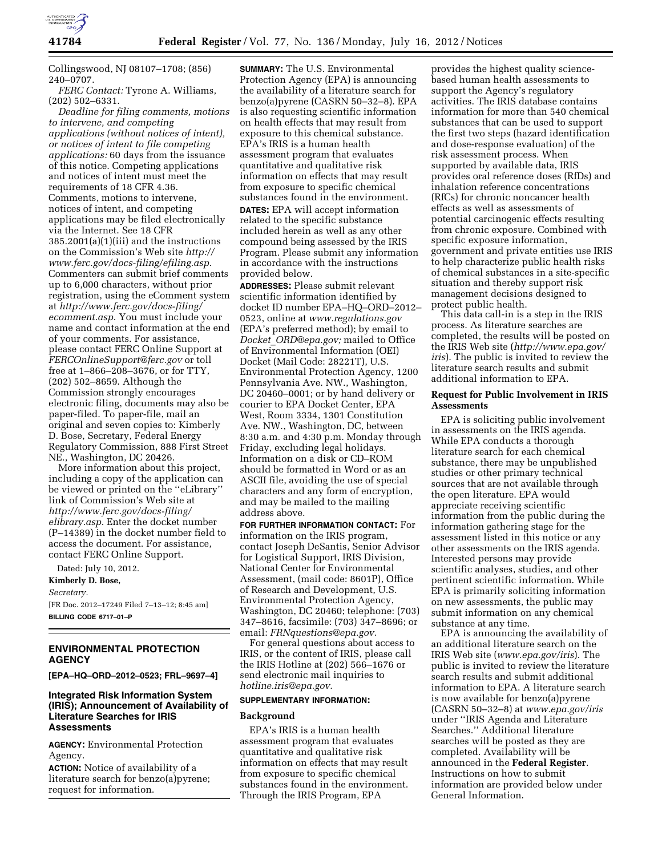

Collingswood, NJ 08107–1708; (856) 240–0707.

*FERC Contact:* Tyrone A. Williams, (202) 502–6331.

*Deadline for filing comments, motions to intervene, and competing applications (without notices of intent), or notices of intent to file competing applications:* 60 days from the issuance of this notice. Competing applications and notices of intent must meet the requirements of 18 CFR 4.36. Comments, motions to intervene, notices of intent, and competing applications may be filed electronically via the Internet. See 18 CFR 385.2001(a)(1)(iii) and the instructions on the Commission's Web site *[http://](http://www.ferc.gov/docs-filing/efiling.asp) [www.ferc.gov/docs-filing/efiling.asp](http://www.ferc.gov/docs-filing/efiling.asp)*. Commenters can submit brief comments up to 6,000 characters, without prior registration, using the eComment system at *[http://www.ferc.gov/docs-filing/](http://www.ferc.gov/docs-filing/ecomment.asp) [ecomment.asp](http://www.ferc.gov/docs-filing/ecomment.asp)*. You must include your name and contact information at the end of your comments. For assistance, please contact FERC Online Support at *[FERCOnlineSupport@ferc.gov](mailto:FERCOnlineSupport@ferc.gov)* or toll free at 1–866–208–3676, or for TTY, (202) 502–8659. Although the Commission strongly encourages electronic filing, documents may also be paper-filed. To paper-file, mail an original and seven copies to: Kimberly D. Bose, Secretary, Federal Energy Regulatory Commission, 888 First Street NE., Washington, DC 20426.

More information about this project, including a copy of the application can be viewed or printed on the ''eLibrary'' link of Commission's Web site at *[http://www.ferc.gov/docs-filing/](http://www.ferc.gov/docs-filing/elibrary.asp) [elibrary.asp](http://www.ferc.gov/docs-filing/elibrary.asp)*. Enter the docket number (P–14389) in the docket number field to access the document. For assistance, contact FERC Online Support.

Dated: July 10, 2012.

**Kimberly D. Bose,**  *Secretary.* 

[FR Doc. 2012–17249 Filed 7–13–12; 8:45 am] **BILLING CODE 6717–01–P** 

# **ENVIRONMENTAL PROTECTION AGENCY**

**[EPA–HQ–ORD–2012–0523; FRL–9697–4]** 

# **Integrated Risk Information System (IRIS); Announcement of Availability of Literature Searches for IRIS Assessments**

**AGENCY:** Environmental Protection Agency.

**ACTION:** Notice of availability of a literature search for benzo(a)pyrene; request for information.

**SUMMARY:** The U.S. Environmental Protection Agency (EPA) is announcing the availability of a literature search for benzo(a)pyrene (CASRN 50–32–8). EPA is also requesting scientific information on health effects that may result from exposure to this chemical substance. EPA's IRIS is a human health assessment program that evaluates quantitative and qualitative risk information on effects that may result from exposure to specific chemical substances found in the environment. **DATES:** EPA will accept information related to the specific substance included herein as well as any other compound being assessed by the IRIS Program. Please submit any information in accordance with the instructions provided below.

**ADDRESSES:** Please submit relevant scientific information identified by docket ID number EPA–HQ–ORD–2012– 0523, online at *[www.regulations.gov](http://www.regulations.gov)*  (EPA's preferred method); by email to *Docket*\_*[ORD@epa.gov;](mailto:Docket_ORD@epa.gov)* mailed to Office of Environmental Information (OEI) Docket (Mail Code: 28221T), U.S. Environmental Protection Agency, 1200 Pennsylvania Ave. NW., Washington, DC 20460–0001; or by hand delivery or courier to EPA Docket Center, EPA West, Room 3334, 1301 Constitution Ave. NW., Washington, DC, between 8:30 a.m. and 4:30 p.m. Monday through Friday, excluding legal holidays. Information on a disk or CD–ROM should be formatted in Word or as an ASCII file, avoiding the use of special characters and any form of encryption, and may be mailed to the mailing address above.

**FOR FURTHER INFORMATION CONTACT:** For information on the IRIS program, contact Joseph DeSantis, Senior Advisor for Logistical Support, IRIS Division, National Center for Environmental Assessment, (mail code: 8601P), Office of Research and Development, U.S. Environmental Protection Agency, Washington, DC 20460; telephone: (703) 347–8616, facsimile: (703) 347–8696; or email: *[FRNquestions@epa.gov.](mailto:FRNquestions@epa.gov)* 

For general questions about access to IRIS, or the content of IRIS, please call the IRIS Hotline at (202) 566–1676 or send electronic mail inquiries to *[hotline.iris@epa.gov.](mailto:hotline.iris@epa.gov)* 

# **SUPPLEMENTARY INFORMATION:**

#### **Background**

EPA's IRIS is a human health assessment program that evaluates quantitative and qualitative risk information on effects that may result from exposure to specific chemical substances found in the environment. Through the IRIS Program, EPA

provides the highest quality sciencebased human health assessments to support the Agency's regulatory activities. The IRIS database contains information for more than 540 chemical substances that can be used to support the first two steps (hazard identification and dose-response evaluation) of the risk assessment process. When supported by available data, IRIS provides oral reference doses (RfDs) and inhalation reference concentrations (RfCs) for chronic noncancer health effects as well as assessments of potential carcinogenic effects resulting from chronic exposure. Combined with specific exposure information, government and private entities use IRIS to help characterize public health risks of chemical substances in a site-specific situation and thereby support risk management decisions designed to protect public health.

This data call-in is a step in the IRIS process. As literature searches are completed, the results will be posted on the IRIS Web site (*[http://www.epa.gov/](http://www.epa.gov/iris) [iris](http://www.epa.gov/iris)*). The public is invited to review the literature search results and submit additional information to EPA.

#### **Request for Public Involvement in IRIS Assessments**

EPA is soliciting public involvement in assessments on the IRIS agenda. While EPA conducts a thorough literature search for each chemical substance, there may be unpublished studies or other primary technical sources that are not available through the open literature. EPA would appreciate receiving scientific information from the public during the information gathering stage for the assessment listed in this notice or any other assessments on the IRIS agenda. Interested persons may provide scientific analyses, studies, and other pertinent scientific information. While EPA is primarily soliciting information on new assessments, the public may submit information on any chemical substance at any time.

EPA is announcing the availability of an additional literature search on the IRIS Web site (*[www.epa.gov/iris](http://www.epa.gov/iris)*). The public is invited to review the literature search results and submit additional information to EPA. A literature search is now available for benzo(a)pyrene (CASRN 50–32–8) at *[www.epa.gov/iris](http://www.epa.gov/iris)*  under ''IRIS Agenda and Literature Searches.'' Additional literature searches will be posted as they are completed. Availability will be announced in the **Federal Register**. Instructions on how to submit information are provided below under General Information.